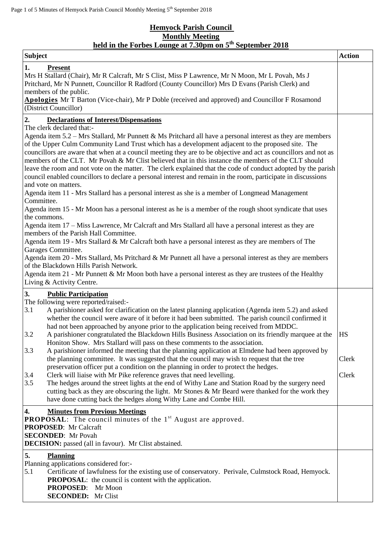## **Hemyock Parish Council Monthly Meeting held in the Forbes Lounge at 7.30pm on 5 th September 2018**

| <b>Subject</b>                                                                                                                                                                                                                                                                                                                                                                                                                                                                                                                                                                                                                                                                                                                                                                                                                                       | <b>Action</b>  |
|------------------------------------------------------------------------------------------------------------------------------------------------------------------------------------------------------------------------------------------------------------------------------------------------------------------------------------------------------------------------------------------------------------------------------------------------------------------------------------------------------------------------------------------------------------------------------------------------------------------------------------------------------------------------------------------------------------------------------------------------------------------------------------------------------------------------------------------------------|----------------|
| 1.<br><b>Present</b><br>Mrs H Stallard (Chair), Mr R Calcraft, Mr S Clist, Miss P Lawrence, Mr N Moon, Mr L Povah, Ms J<br>Pritchard, Mr N Punnett, Councillor R Radford (County Councillor) Mrs D Evans (Parish Clerk) and<br>members of the public.<br>Apologies Mr T Barton (Vice-chair), Mr P Doble (received and approved) and Councillor F Rosamond<br>(District Councillor)                                                                                                                                                                                                                                                                                                                                                                                                                                                                   |                |
| 2.<br><b>Declarations of Interest/Dispensations</b>                                                                                                                                                                                                                                                                                                                                                                                                                                                                                                                                                                                                                                                                                                                                                                                                  |                |
| The clerk declared that:-<br>Agenda item $5.2$ – Mrs Stallard, Mr Punnett & Ms Pritchard all have a personal interest as they are members<br>of the Upper Culm Community Land Trust which has a development adjacent to the proposed site. The<br>councillors are aware that when at a council meeting they are to be objective and act as councillors and not as<br>members of the CLT. Mr Povah & Mr Clist believed that in this instance the members of the CLT should<br>leave the room and not vote on the matter. The clerk explained that the code of conduct adopted by the parish<br>council enabled councillors to declare a personal interest and remain in the room, participate in discussions<br>and vote on matters.<br>Agenda item 11 - Mrs Stallard has a personal interest as she is a member of Longmead Management<br>Committee. |                |
| Agenda item 15 - Mr Moon has a personal interest as he is a member of the rough shoot syndicate that uses                                                                                                                                                                                                                                                                                                                                                                                                                                                                                                                                                                                                                                                                                                                                            |                |
| the commons.<br>Agenda item 17 - Miss Lawrence, Mr Calcraft and Mrs Stallard all have a personal interest as they are<br>members of the Parish Hall Committee.<br>Agenda item 19 - Mrs Stallard & Mr Calcraft both have a personal interest as they are members of The<br>Garages Committee.<br>Agenda item 20 - Mrs Stallard, Ms Pritchard & Mr Punnett all have a personal interest as they are members<br>of the Blackdown Hills Parish Network.<br>Agenda item 21 - Mr Punnett & Mr Moon both have a personal interest as they are trustees of the Healthy                                                                                                                                                                                                                                                                                       |                |
| Living & Activity Centre.                                                                                                                                                                                                                                                                                                                                                                                                                                                                                                                                                                                                                                                                                                                                                                                                                            |                |
| 3.<br><b>Public Participation</b>                                                                                                                                                                                                                                                                                                                                                                                                                                                                                                                                                                                                                                                                                                                                                                                                                    |                |
| The following were reported/raised:-<br>3.1<br>A parishioner asked for clarification on the latest planning application (Agenda item 5.2) and asked<br>whether the council were aware of it before it had been submitted. The parish council confirmed it<br>had not been approached by anyone prior to the application being received from MDDC.<br>3.2<br>A parishioner congratulated the Blackdown Hills Business Association on its friendly marquee at the<br>Honiton Show. Mrs Stallard will pass on these comments to the association.                                                                                                                                                                                                                                                                                                        | HS             |
| 3.3<br>A parishioner informed the meeting that the planning application at Elmdene had been approved by<br>the planning committee. It was suggested that the council may wish to request that the tree<br>preservation officer put a condition on the planning in order to protect the hedges.<br>Clerk will liaise with Mr Pike reference graves that need levelling.<br>3.4<br>3.5<br>The hedges around the street lights at the end of Withy Lane and Station Road by the surgery need<br>cutting back as they are obscuring the light. Mr Stones & Mr Beard were thanked for the work they<br>have done cutting back the hedges along Withy Lane and Combe Hill.                                                                                                                                                                                 | Clerk<br>Clerk |
| 4.<br><b>Minutes from Previous Meetings</b><br><b>PROPOSAL:</b> The council minutes of the $1st$ August are approved.<br><b>PROPOSED:</b> Mr Calcraft<br><b>SECONDED:</b> Mr Povah<br><b>DECISION:</b> passed (all in favour). Mr Clist abstained.                                                                                                                                                                                                                                                                                                                                                                                                                                                                                                                                                                                                   |                |
| 5.<br><b>Planning</b><br>Planning applications considered for:-<br>5.1<br>Certificate of lawfulness for the existing use of conservatory. Perivale, Culmstock Road, Hemyock.<br><b>PROPOSAL:</b> the council is content with the application.<br>PROPOSED: Mr Moon<br><b>SECONDED:</b> Mr Clist                                                                                                                                                                                                                                                                                                                                                                                                                                                                                                                                                      |                |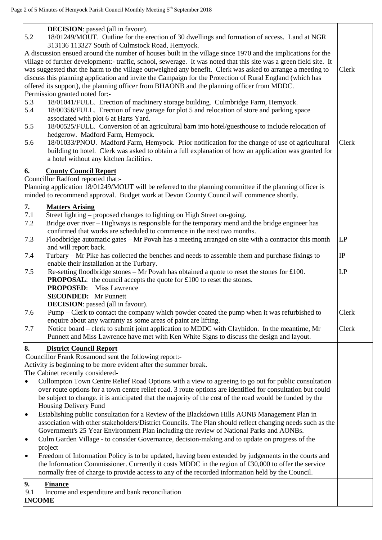| <b>DECISION</b> : passed (all in favour).<br>5.2<br>18/01249/MOUT. Outline for the erection of 30 dwellings and formation of access. Land at NGR<br>313136 113327 South of Culmstock Road, Hemyock.<br>A discussion ensued around the number of houses built in the village since 1970 and the implications for the<br>village of further development:- traffic, school, sewerage. It was noted that this site was a green field site. It<br>was suggested that the harm to the village outweighed any benefit. Clerk was asked to arrange a meeting to<br>discuss this planning application and invite the Campaign for the Protection of Rural England (which has<br>offered its support), the planning officer from BHAONB and the planning officer from MDDC.<br>Permission granted noted for:-<br>5.3<br>18/01041/FULL. Erection of machinery storage building. Culmbridge Farm, Hemyock.<br>5.4<br>18/00356/FULL. Erection of new garage for plot 5 and relocation of store and parking space<br>associated with plot 6 at Harts Yard.<br>18/00525/FULL. Conversion of an agricultural barn into hotel/guesthouse to include relocation of<br>5.5<br>hedgerow. Madford Farm, Hemyock.                                                                                                                                                            | Clerk<br>Clerk |
|--------------------------------------------------------------------------------------------------------------------------------------------------------------------------------------------------------------------------------------------------------------------------------------------------------------------------------------------------------------------------------------------------------------------------------------------------------------------------------------------------------------------------------------------------------------------------------------------------------------------------------------------------------------------------------------------------------------------------------------------------------------------------------------------------------------------------------------------------------------------------------------------------------------------------------------------------------------------------------------------------------------------------------------------------------------------------------------------------------------------------------------------------------------------------------------------------------------------------------------------------------------------------------------------------------------------------------------------------------|----------------|
| 18/01033/PNOU. Madford Farm, Hemyock. Prior notification for the change of use of agricultural<br>5.6<br>building to hotel. Clerk was asked to obtain a full explanation of how an application was granted for<br>a hotel without any kitchen facilities.<br>6.<br><b>County Council Report</b><br>Councillor Radford reported that:-<br>Planning application 18/01249/MOUT will be referred to the planning committee if the planning officer is                                                                                                                                                                                                                                                                                                                                                                                                                                                                                                                                                                                                                                                                                                                                                                                                                                                                                                      |                |
| minded to recommend approval. Budget work at Devon County Council will commence shortly.<br>7.<br><b>Matters Arising</b><br>7.1<br>Street lighting – proposed changes to lighting on High Street on-going.<br>Bridge over river - Highways is responsible for the temporary mend and the bridge engineer has<br>7.2<br>confirmed that works are scheduled to commence in the next two months.                                                                                                                                                                                                                                                                                                                                                                                                                                                                                                                                                                                                                                                                                                                                                                                                                                                                                                                                                          |                |
| 7.3<br>Floodbridge automatic gates - Mr Povah has a meeting arranged on site with a contractor this month<br>and will report back.<br>7.4<br>Turbary – Mr Pike has collected the benches and needs to assemble them and purchase fixings to                                                                                                                                                                                                                                                                                                                                                                                                                                                                                                                                                                                                                                                                                                                                                                                                                                                                                                                                                                                                                                                                                                            | LP<br>$\rm IP$ |
| enable their installation at the Turbary.<br>Re-setting floodbridge stones – Mr Povah has obtained a quote to reset the stones for £100.<br>7.5<br><b>PROPOSAL:</b> the council accepts the quote for £100 to reset the stones.<br><b>PROPOSED:</b> Miss Lawrence                                                                                                                                                                                                                                                                                                                                                                                                                                                                                                                                                                                                                                                                                                                                                                                                                                                                                                                                                                                                                                                                                      | LP             |
| <b>SECONDED:</b> Mr Punnett<br><b>DECISION</b> : passed (all in favour).<br>7.6<br>Pump – Clerk to contact the company which powder coated the pump when it was refurbished to                                                                                                                                                                                                                                                                                                                                                                                                                                                                                                                                                                                                                                                                                                                                                                                                                                                                                                                                                                                                                                                                                                                                                                         | Clerk          |
| enquire about any warranty as some areas of paint are lifting.<br>Notice board - clerk to submit joint application to MDDC with Clayhidon. In the meantime, Mr<br>7.7<br>Punnett and Miss Lawrence have met with Ken White Signs to discuss the design and layout.                                                                                                                                                                                                                                                                                                                                                                                                                                                                                                                                                                                                                                                                                                                                                                                                                                                                                                                                                                                                                                                                                     | Clerk          |
| 8.<br><b>District Council Report</b><br>Councillor Frank Rosamond sent the following report:-<br>Activity is beginning to be more evident after the summer break.<br>The Cabinet recently considered-<br>Cullompton Town Centre Relief Road Options with a view to agreeing to go out for public consultation<br>$\bullet$<br>over route options for a town centre relief road. 3 route options are identified for consultation but could<br>be subject to change. it is anticipated that the majority of the cost of the road would be funded by the<br>Housing Delivery Fund<br>Establishing public consultation for a Review of the Blackdown Hills AONB Management Plan in<br>٠<br>association with other stakeholders/District Councils. The Plan should reflect changing needs such as the<br>Government's 25 Year Environment Plan including the review of National Parks and AONBs.<br>Culm Garden Village - to consider Governance, decision-making and to update on progress of the<br>$\bullet$<br>project<br>Freedom of Information Policy is to be updated, having been extended by judgements in the courts and<br>$\bullet$<br>the Information Commissioner. Currently it costs MDDC in the region of £30,000 to offer the service<br>normally free of charge to provide access to any of the recorded information held by the Council. |                |
| 9.<br><b>Finance</b><br>9.1<br>Income and expenditure and bank reconciliation<br><b>INCOME</b>                                                                                                                                                                                                                                                                                                                                                                                                                                                                                                                                                                                                                                                                                                                                                                                                                                                                                                                                                                                                                                                                                                                                                                                                                                                         |                |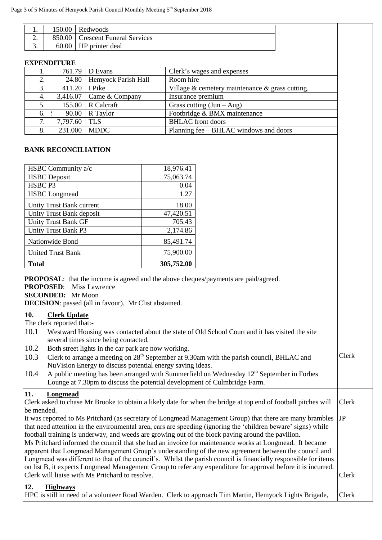|                                                                                                              | Redwoods<br>150.00<br>1.                   |                                                                               |  |                                                                                                                                                                                                                    |  |       |
|--------------------------------------------------------------------------------------------------------------|--------------------------------------------|-------------------------------------------------------------------------------|--|--------------------------------------------------------------------------------------------------------------------------------------------------------------------------------------------------------------------|--|-------|
| 2.                                                                                                           | <b>Crescent Funeral Services</b><br>850.00 |                                                                               |  |                                                                                                                                                                                                                    |  |       |
| HP printer deal<br>3.<br>60.00                                                                               |                                            |                                                                               |  |                                                                                                                                                                                                                    |  |       |
| <b>EXPENDITURE</b>                                                                                           |                                            |                                                                               |  |                                                                                                                                                                                                                    |  |       |
| 1.                                                                                                           | 761.79                                     | D Evans                                                                       |  | Clerk's wages and expenses                                                                                                                                                                                         |  |       |
| 2.                                                                                                           | 24.80                                      | Hemyock Parish Hall                                                           |  | Room hire                                                                                                                                                                                                          |  |       |
| 3.                                                                                                           | 411.20                                     | I Pike                                                                        |  | Village $&$ cemetery maintenance $&$ grass cutting.                                                                                                                                                                |  |       |
| 4.                                                                                                           | 3,416.07                                   | Came & Company                                                                |  | Insurance premium                                                                                                                                                                                                  |  |       |
| 5.                                                                                                           | 155.00                                     | R Calcraft                                                                    |  | Grass cutting $(Jun - Aug)$                                                                                                                                                                                        |  |       |
| 6.                                                                                                           | 90.00                                      | R Taylor                                                                      |  | Footbridge & BMX maintenance                                                                                                                                                                                       |  |       |
| 7.                                                                                                           | 7,797.60                                   | <b>TLS</b>                                                                    |  | <b>BHLAC</b> front doors                                                                                                                                                                                           |  |       |
| 8.                                                                                                           | 231.000                                    | <b>MDDC</b>                                                                   |  | Planning fee - BHLAC windows and doors                                                                                                                                                                             |  |       |
|                                                                                                              |                                            | <b>BANK RECONCILIATION</b>                                                    |  |                                                                                                                                                                                                                    |  |       |
|                                                                                                              | HSBC Community a/c                         |                                                                               |  | 18,976.41                                                                                                                                                                                                          |  |       |
| <b>HSBC</b> Deposit                                                                                          |                                            |                                                                               |  | 75,063.74                                                                                                                                                                                                          |  |       |
| HSBC P3                                                                                                      |                                            |                                                                               |  | 0.04                                                                                                                                                                                                               |  |       |
|                                                                                                              | <b>HSBC</b> Longmead                       |                                                                               |  | 1.27                                                                                                                                                                                                               |  |       |
|                                                                                                              | Unity Trust Bank current                   |                                                                               |  | 18.00                                                                                                                                                                                                              |  |       |
|                                                                                                              | Unity Trust Bank deposit                   |                                                                               |  | 47,420.51                                                                                                                                                                                                          |  |       |
|                                                                                                              | <b>Unity Trust Bank GF</b>                 |                                                                               |  | 705.43                                                                                                                                                                                                             |  |       |
|                                                                                                              | Unity Trust Bank P3                        |                                                                               |  | 2,174.86                                                                                                                                                                                                           |  |       |
|                                                                                                              | Nationwide Bond                            |                                                                               |  | 85,491.74                                                                                                                                                                                                          |  |       |
|                                                                                                              | <b>United Trust Bank</b>                   |                                                                               |  | 75,900.00                                                                                                                                                                                                          |  |       |
| <b>Total</b>                                                                                                 |                                            |                                                                               |  | 305,752.00                                                                                                                                                                                                         |  |       |
| <b>PROPOSED:</b><br><b>SECONDED:</b> Mr Moon                                                                 |                                            | <b>Miss Lawrence</b><br>DECISION: passed (all in favour). Mr Clist abstained. |  | <b>PROPOSAL:</b> that the income is agreed and the above cheques/payments are paid/agreed.                                                                                                                         |  |       |
| 10.<br>The clerk reported that:-                                                                             | <b>Clerk Update</b>                        |                                                                               |  |                                                                                                                                                                                                                    |  |       |
| 10.1                                                                                                         |                                            |                                                                               |  | Westward Housing was contacted about the state of Old School Court and it has visited the site                                                                                                                     |  |       |
|                                                                                                              |                                            | several times since being contacted.                                          |  |                                                                                                                                                                                                                    |  |       |
| 10.2                                                                                                         |                                            | Both street lights in the car park are now working.                           |  |                                                                                                                                                                                                                    |  |       |
| 10.3                                                                                                         |                                            |                                                                               |  | Clerk to arrange a meeting on 28 <sup>th</sup> September at 9.30am with the parish council, BHLAC and                                                                                                              |  | Clerk |
|                                                                                                              |                                            | NuVision Energy to discuss potential energy saving ideas.                     |  |                                                                                                                                                                                                                    |  |       |
| 10.4                                                                                                         |                                            |                                                                               |  | A public meeting has been arranged with Summerfield on Wednesday $12th$ September in Forbes<br>Lounge at 7.30pm to discuss the potential development of Culmbridge Farm.                                           |  |       |
| 11.                                                                                                          | Longmead                                   |                                                                               |  |                                                                                                                                                                                                                    |  |       |
|                                                                                                              |                                            |                                                                               |  | Clerk asked to chase Mr Brooke to obtain a likely date for when the bridge at top end of football pitches will                                                                                                     |  | Clerk |
| be mended.                                                                                                   |                                            |                                                                               |  |                                                                                                                                                                                                                    |  |       |
|                                                                                                              |                                            |                                                                               |  | It was reported to Ms Pritchard (as secretary of Longmead Management Group) that there are many brambles                                                                                                           |  | JP    |
|                                                                                                              |                                            |                                                                               |  | that need attention in the environmental area, cars are speeding (ignoring the 'children beware' signs) while<br>football training is underway, and weeds are growing out of the block paving around the pavilion. |  |       |
|                                                                                                              |                                            |                                                                               |  | Ms Pritchard informed the council that she had an invoice for maintenance works at Longmead. It became                                                                                                             |  |       |
|                                                                                                              |                                            |                                                                               |  | apparent that Longmead Management Group's understanding of the new agreement between the council and                                                                                                               |  |       |
|                                                                                                              |                                            |                                                                               |  | Longmead was different to that of the council's. Whilst the parish council is financially responsible for items                                                                                                    |  |       |
| on list B, it expects Longmead Management Group to refer any expenditure for approval before it is incurred. |                                            |                                                                               |  |                                                                                                                                                                                                                    |  |       |
| Clerk will liaise with Ms Pritchard to resolve.                                                              |                                            |                                                                               |  |                                                                                                                                                                                                                    |  | Clerk |
| 12.                                                                                                          | <b>Highways</b>                            |                                                                               |  |                                                                                                                                                                                                                    |  |       |

 $\overline{\phantom{a}}$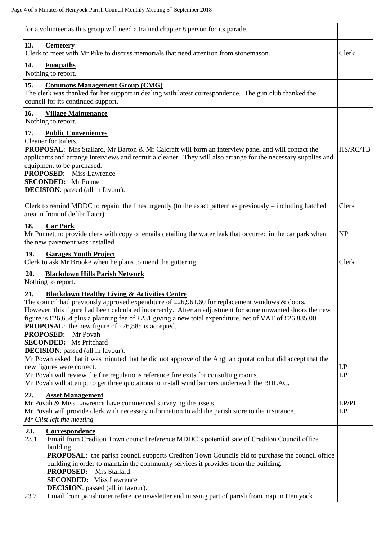| for a volunteer as this group will need a trained chapter 8 person for its parade.                                                                                                                                                                                                                                                                                                                                                                                                                                                                                                                                                                                                                                                                                                                                                                                                                    |             |
|-------------------------------------------------------------------------------------------------------------------------------------------------------------------------------------------------------------------------------------------------------------------------------------------------------------------------------------------------------------------------------------------------------------------------------------------------------------------------------------------------------------------------------------------------------------------------------------------------------------------------------------------------------------------------------------------------------------------------------------------------------------------------------------------------------------------------------------------------------------------------------------------------------|-------------|
| 13.<br><b>Cemetery</b><br>Clerk to meet with Mr Pike to discuss memorials that need attention from stonemason.                                                                                                                                                                                                                                                                                                                                                                                                                                                                                                                                                                                                                                                                                                                                                                                        | Clerk       |
| 14.<br>Footpaths<br>Nothing to report.                                                                                                                                                                                                                                                                                                                                                                                                                                                                                                                                                                                                                                                                                                                                                                                                                                                                |             |
| 15.<br><b>Commons Management Group (CMG)</b><br>The clerk was thanked for her support in dealing with latest correspondence. The gun club thanked the<br>council for its continued support.                                                                                                                                                                                                                                                                                                                                                                                                                                                                                                                                                                                                                                                                                                           |             |
| 16.<br><b>Village Maintenance</b><br>Nothing to report.                                                                                                                                                                                                                                                                                                                                                                                                                                                                                                                                                                                                                                                                                                                                                                                                                                               |             |
| 17.<br><b>Public Conveniences</b><br>Cleaner for toilets.<br><b>PROPOSAL:</b> Mrs Stallard, Mr Barton & Mr Calcraft will form an interview panel and will contact the<br>applicants and arrange interviews and recruit a cleaner. They will also arrange for the necessary supplies and<br>equipment to be purchased.<br><b>PROPOSED:</b> Miss Lawrence<br><b>SECONDED:</b> Mr Punnett<br><b>DECISION</b> : passed (all in favour).                                                                                                                                                                                                                                                                                                                                                                                                                                                                   | HS/RC/TB    |
| Clerk to remind MDDC to repaint the lines urgently (to the exact pattern as previously – including hatched<br>area in front of defibrillator)                                                                                                                                                                                                                                                                                                                                                                                                                                                                                                                                                                                                                                                                                                                                                         | Clerk       |
| 18.<br><b>Car Park</b><br>Mr Punnett to provide clerk with copy of emails detailing the water leak that occurred in the car park when<br>the new pavement was installed.                                                                                                                                                                                                                                                                                                                                                                                                                                                                                                                                                                                                                                                                                                                              | <b>NP</b>   |
| 19.<br><b>Garages Youth Project</b><br>Clerk to ask Mr Brooke when he plans to mend the guttering.                                                                                                                                                                                                                                                                                                                                                                                                                                                                                                                                                                                                                                                                                                                                                                                                    | Clerk       |
| 20.<br><b>Blackdown Hills Parish Network</b><br>Nothing to report.                                                                                                                                                                                                                                                                                                                                                                                                                                                                                                                                                                                                                                                                                                                                                                                                                                    |             |
| 21.<br><b>Blackdown Healthy Living &amp; Activities Centre</b><br>The council had previously approved expenditure of £26,961.60 for replacement windows $\&$ doors.<br>However, this figure had been calculated incorrectly. After an adjustment for some unwanted doors the new<br>figure is £26,654 plus a planning fee of £231 giving a new total expenditure, net of VAT of £26,885.00.<br><b>PROPOSAL:</b> the new figure of £26,885 is accepted.<br><b>PROPOSED:</b> Mr Povah<br><b>SECONDED:</b> Ms Pritchard<br><b>DECISION</b> : passed (all in favour).<br>Mr Povah asked that it was minuted that he did not approve of the Anglian quotation but did accept that the<br>new figures were correct.<br>Mr Povah will review the fire regulations reference fire exits for consulting rooms.<br>Mr Povah will attempt to get three quotations to install wind barriers underneath the BHLAC. | LP<br>LP    |
| 22.<br><b>Asset Management</b><br>Mr Povah & Miss Lawrence have commenced surveying the assets.<br>Mr Povah will provide clerk with necessary information to add the parish store to the insurance.<br>Mr Clist left the meeting                                                                                                                                                                                                                                                                                                                                                                                                                                                                                                                                                                                                                                                                      | LP/PL<br>LP |
| 23.<br>Correspondence<br>23.1<br>Email from Crediton Town council reference MDDC's potential sale of Crediton Council office<br>building.<br><b>PROPOSAL:</b> the parish council supports Crediton Town Councils bid to purchase the council office<br>building in order to maintain the community services it provides from the building.<br><b>PROPOSED:</b> Mrs Stallard<br><b>SECONDED:</b> Miss Lawrence<br><b>DECISION</b> : passed (all in favour).<br>Email from parishioner reference newsletter and missing part of parish from map in Hemyock<br>23.2                                                                                                                                                                                                                                                                                                                                      |             |